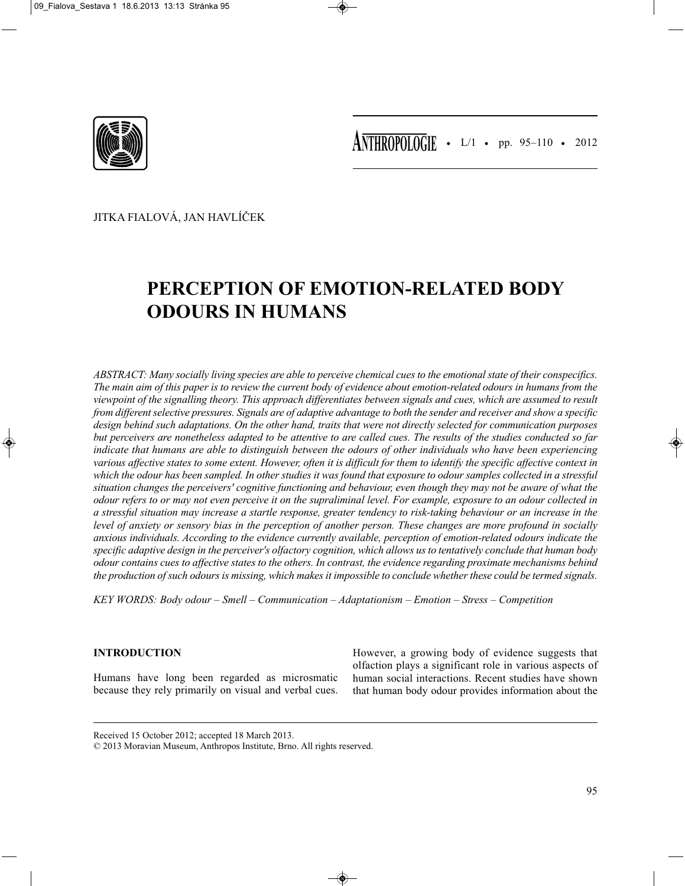

JITKA FIALOVÁ, JAN HAVLÍČEK

# **PERCEPTION OF EMOTION-RELATED BODY ODOURS IN HUMANS**

*ABSTRACT: Many socially living species are able to perceive chemical cues to the emotional state of their conspecifics. The main aim of this paper is to review the current body of evidence about emotion-related odours in humans from the viewpoint of the signalling theory. This approach differentiates between signals and cues, which are assumed to result from different selective pressures. Signals are of adaptive advantage to both the sender and receiver and show a specific design behind such adaptations. On the other hand, traits that were not directly selected for communication purposes but perceivers are nonetheless adapted to be attentive to are called cues. The results of the studies conducted so far indicate that humans are able to distinguish between the odours of other individuals who have been experiencing various affective states to some extent. However, often it is difficult for them to identify the specific affective context in which the odour has been sampled. In other studies it was found that exposure to odour samples collected in a stressful situation changes the perceivers' cognitive functioning and behaviour, even though they may not be aware of what the odour refers to or may not even perceive it on the supraliminal level. For example, exposure to an odour collected in a stressful situation may increase a startle response, greater tendency to risk-taking behaviour or an increase in the level of anxiety or sensory bias in the perception of another person. These changes are more profound in socially anxious individuals. According to the evidence currently available, perception of emotion-related odours indicate the specific adaptive design in the perceiver's olfactory cognition, which allows us to tentatively conclude that human body odour contains cues to affective states to the others. In contrast, the evidence regarding proximate mechanisms behind the production of such odours is missing, which makes it impossible to conclude whether these could be termed signals.*

*KEY WORDS: Body odour – Smell – Communication – Adaptationism – Emotion – Stress – Competition*

# **INTRODUCTION**

Humans have long been regarded as microsmatic because they rely primarily on visual and verbal cues.

However, a growing body of evidence suggests that olfaction plays a significant role in various aspects of human social interactions. Recent studies have shown that human body odour provides information about the

Received 15 October 2012; accepted 18 March 2013.

© 2013 Moravian Museum, Anthropos Institute, Brno. All rights reserved.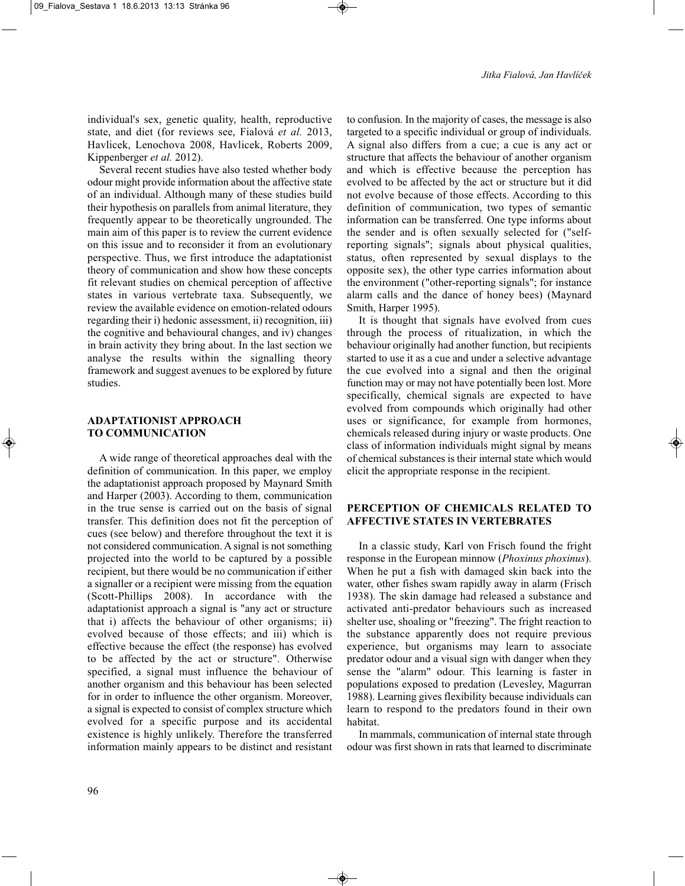individual's sex, genetic quality, health, reproductive state, and diet (for reviews see, Fialová *et al.* 2013, Havlicek, Lenochova 2008, Havlicek, Roberts 2009, Kippenberger *et al.* 2012).

Several recent studies have also tested whether body odour might provide information about the affective state of an individual. Although many of these studies build their hypothesis on parallels from animal literature, they frequently appear to be theoretically ungrounded. The main aim of this paper is to review the current evidence on this issue and to reconsider it from an evolutionary perspective. Thus, we first introduce the adaptationist theory of communication and show how these concepts fit relevant studies on chemical perception of affective states in various vertebrate taxa. Subsequently, we review the available evidence on emotion-related odours regarding their i) hedonic assessment, ii) recognition, iii) the cognitive and behavioural changes, and iv) changes in brain activity they bring about. In the last section we analyse the results within the signalling theory framework and suggest avenues to be explored by future studies.

### **ADAPTATIONIST APPROACH TO COMMUNICATION**

A wide range of theoretical approaches deal with the definition of communication. In this paper, we employ the adaptationist approach proposed by Maynard Smith and Harper (2003). According to them, communication in the true sense is carried out on the basis of signal transfer. This definition does not fit the perception of cues (see below) and therefore throughout the text it is not considered communication. A signal is not something projected into the world to be captured by a possible recipient, but there would be no communication if either a signaller or a recipient were missing from the equation (Scott-Phillips 2008). In accordance with the adaptationist approach a signal is "any act or structure that i) affects the behaviour of other organisms; ii) evolved because of those effects; and iii) which is effective because the effect (the response) has evolved to be affected by the act or structure". Otherwise specified, a signal must influence the behaviour of another organism and this behaviour has been selected for in order to influence the other organism. Moreover, a signal is expected to consist of complex structure which evolved for a specific purpose and its accidental existence is highly unlikely. Therefore the transferred information mainly appears to be distinct and resistant

to confusion. In the majority of cases, the message is also targeted to a specific individual or group of individuals. A signal also differs from a cue; a cue is any act or structure that affects the behaviour of another organism and which is effective because the perception has evolved to be affected by the act or structure but it did not evolve because of those effects. According to this definition of communication, two types of semantic information can be transferred. One type informs about the sender and is often sexually selected for ("selfreporting signals"; signals about physical qualities, status, often represented by sexual displays to the opposite sex), the other type carries information about the environment ("other-reporting signals"; for instance alarm calls and the dance of honey bees) (Maynard Smith, Harper 1995).

It is thought that signals have evolved from cues through the process of ritualization, in which the behaviour originally had another function, but recipients started to use it as a cue and under a selective advantage the cue evolved into a signal and then the original function may or may not have potentially been lost. More specifically, chemical signals are expected to have evolved from compounds which originally had other uses or significance, for example from hormones, chemicals released during injury or waste products. One class of information individuals might signal by means of chemical substances is their internal state which would elicit the appropriate response in the recipient.

# **PERCEPTION OF CHEMICALS RELATED TO AFFECTIVE STATES IN VERTEBRATES**

In a classic study, Karl von Frisch found the fright response in the European minnow (*Phoxinus phoxinus*). When he put a fish with damaged skin back into the water, other fishes swam rapidly away in alarm (Frisch 1938). The skin damage had released a substance and activated anti-predator behaviours such as increased shelter use, shoaling or "freezing". The fright reaction to the substance apparently does not require previous experience, but organisms may learn to associate predator odour and a visual sign with danger when they sense the "alarm" odour. This learning is faster in populations exposed to predation (Levesley, Magurran 1988). Learning gives flexibility because individuals can learn to respond to the predators found in their own habitat.

In mammals, communication of internal state through odour was first shown in rats that learned to discriminate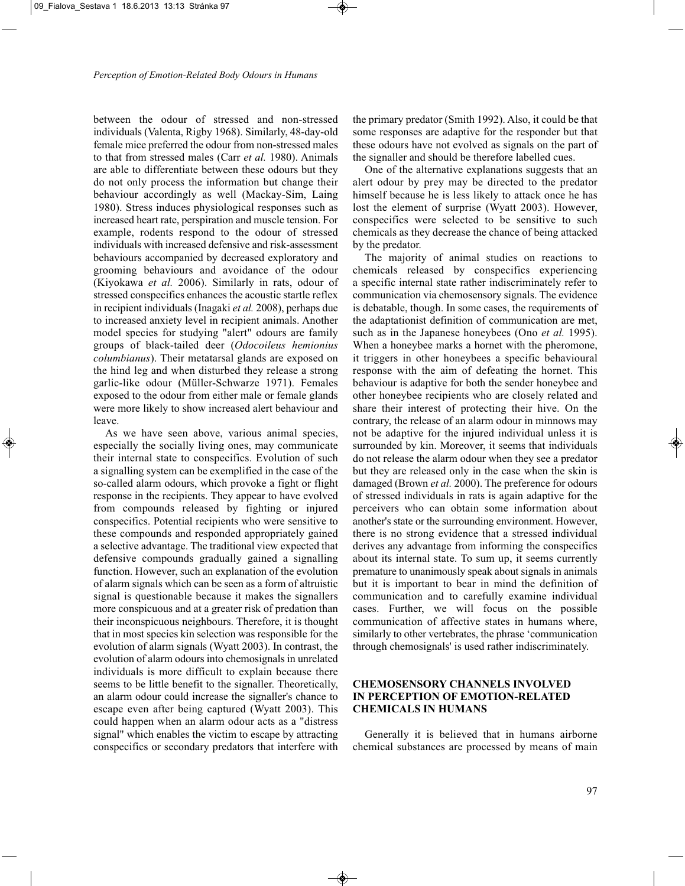between the odour of stressed and non-stressed individuals (Valenta, Rigby 1968). Similarly, 48-day-old female mice preferred the odour from non-stressed males to that from stressed males (Carr *et al.* 1980). Animals are able to differentiate between these odours but they do not only process the information but change their behaviour accordingly as well (Mackay-Sim, Laing 1980). Stress induces physiological responses such as increased heart rate, perspiration and muscle tension. For example, rodents respond to the odour of stressed individuals with increased defensive and risk-assessment behaviours accompanied by decreased exploratory and grooming behaviours and avoidance of the odour (Kiyokawa *et al.* 2006). Similarly in rats, odour of stressed conspecifics enhances the acoustic startle reflex in recipient individuals (Inagaki *et al.* 2008), perhaps due to increased anxiety level in recipient animals. Another model species for studying "alert" odours are family groups of black-tailed deer (*Odocoileus hemionius columbianus*). Their metatarsal glands are exposed on the hind leg and when disturbed they release a strong garlic-like odour (Müller-Schwarze 1971). Females exposed to the odour from either male or female glands were more likely to show increased alert behaviour and leave.

As we have seen above, various animal species, especially the socially living ones, may communicate their internal state to conspecifics. Evolution of such a signalling system can be exemplified in the case of the so-called alarm odours, which provoke a fight or flight response in the recipients. They appear to have evolved from compounds released by fighting or injured conspecifics. Potential recipients who were sensitive to these compounds and responded appropriately gained a selective advantage. The traditional view expected that defensive compounds gradually gained a signalling function. However, such an explanation of the evolution of alarm signals which can be seen as a form of altruistic signal is questionable because it makes the signallers more conspicuous and at a greater risk of predation than their inconspicuous neighbours. Therefore, it is thought that in most species kin selection was responsible for the evolution of alarm signals (Wyatt 2003). In contrast, the evolution of alarm odours into chemosignals in unrelated individuals is more difficult to explain because there seems to be little benefit to the signaller. Theoretically, an alarm odour could increase the signaller's chance to escape even after being captured (Wyatt 2003). This could happen when an alarm odour acts as a "distress signal" which enables the victim to escape by attracting conspecifics or secondary predators that interfere with the primary predator (Smith 1992). Also, it could be that some responses are adaptive for the responder but that these odours have not evolved as signals on the part of the signaller and should be therefore labelled cues.

One of the alternative explanations suggests that an alert odour by prey may be directed to the predator himself because he is less likely to attack once he has lost the element of surprise (Wyatt 2003). However, conspecifics were selected to be sensitive to such chemicals as they decrease the chance of being attacked by the predator.

The majority of animal studies on reactions to chemicals released by conspecifics experiencing a specific internal state rather indiscriminately refer to communication via chemosensory signals. The evidence is debatable, though. In some cases, the requirements of the adaptationist definition of communication are met, such as in the Japanese honeybees (Ono *et al.* 1995). When a honeybee marks a hornet with the pheromone, it triggers in other honeybees a specific behavioural response with the aim of defeating the hornet. This behaviour is adaptive for both the sender honeybee and other honeybee recipients who are closely related and share their interest of protecting their hive. On the contrary, the release of an alarm odour in minnows may not be adaptive for the injured individual unless it is surrounded by kin. Moreover, it seems that individuals do not release the alarm odour when they see a predator but they are released only in the case when the skin is damaged (Brown *et al.* 2000). The preference for odours of stressed individuals in rats is again adaptive for the perceivers who can obtain some information about another's state or the surrounding environment. However, there is no strong evidence that a stressed individual derives any advantage from informing the conspecifics about its internal state. To sum up, it seems currently premature to unanimously speak about signals in animals but it is important to bear in mind the definition of communication and to carefully examine individual cases. Further, we will focus on the possible communication of affective states in humans where, similarly to other vertebrates, the phrase 'communication through chemosignals' is used rather indiscriminately.

# **CHEMOSENSORY CHANNELS INVOLVED IN PERCEPTION OF EMOTION-RELATED CHEMICALS IN HUMANS**

Generally it is believed that in humans airborne chemical substances are processed by means of main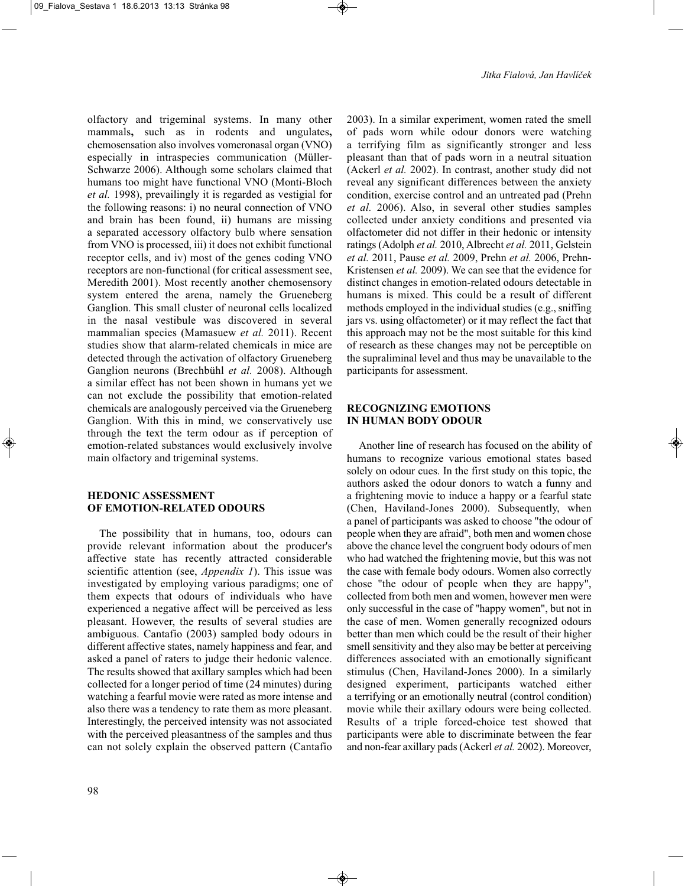olfactory and trigeminal systems. In many other mammals**,** such as in rodents and ungulates**,** chemosensation also involves vomeronasal organ (VNO) especially in intraspecies communication (Müller-Schwarze 2006). Although some scholars claimed that humans too might have functional VNO (Monti-Bloch *et al.* 1998), prevailingly it is regarded as vestigial for the following reasons: i) no neural connection of VNO and brain has been found, ii) humans are missing a separated accessory olfactory bulb where sensation from VNO is processed, iii) it does not exhibit functional receptor cells, and iv) most of the genes coding VNO receptors are non-functional (for critical assessment see, Meredith 2001). Most recently another chemosensory system entered the arena, namely the Grueneberg Ganglion. This small cluster of neuronal cells localized in the nasal vestibule was discovered in several mammalian species (Mamasuew *et al.* 2011). Recent studies show that alarm-related chemicals in mice are detected through the activation of olfactory Grueneberg Ganglion neurons (Brechbühl *et al.* 2008). Although a similar effect has not been shown in humans yet we can not exclude the possibility that emotion-related chemicals are analogously perceived via the Grueneberg Ganglion. With this in mind, we conservatively use through the text the term odour as if perception of emotion-related substances would exclusively involve main olfactory and trigeminal systems.

# **HEDONIC ASSESSMENT OF EMOTION-RELATED ODOURS**

The possibility that in humans, too, odours can provide relevant information about the producer's affective state has recently attracted considerable scientific attention (see, *Appendix 1*). This issue was investigated by employing various paradigms; one of them expects that odours of individuals who have experienced a negative affect will be perceived as less pleasant. However, the results of several studies are ambiguous. Cantafio (2003) sampled body odours in different affective states, namely happiness and fear, and asked a panel of raters to judge their hedonic valence. The results showed that axillary samples which had been collected for a longer period of time (24 minutes) during watching a fearful movie were rated as more intense and also there was a tendency to rate them as more pleasant. Interestingly, the perceived intensity was not associated with the perceived pleasantness of the samples and thus can not solely explain the observed pattern (Cantafio

2003). In a similar experiment, women rated the smell of pads worn while odour donors were watching a terrifying film as significantly stronger and less pleasant than that of pads worn in a neutral situation (Ackerl *et al.* 2002). In contrast, another study did not reveal any significant differences between the anxiety condition, exercise control and an untreated pad (Prehn *et al.* 2006). Also, in several other studies samples collected under anxiety conditions and presented via olfactometer did not differ in their hedonic or intensity ratings (Adolph *et al.* 2010, Albrecht *et al.* 2011, Gelstein *et al.* 2011, Pause *et al.* 2009, Prehn *et al.* 2006, Prehn-Kristensen *et al.* 2009). We can see that the evidence for distinct changes in emotion-related odours detectable in humans is mixed. This could be a result of different methods employed in the individual studies (e.g., sniffing jars vs. using olfactometer) or it may reflect the fact that this approach may not be the most suitable for this kind of research as these changes may not be perceptible on the supraliminal level and thus may be unavailable to the participants for assessment.

# **RECOGNIZING EMOTIONS IN HUMAN BODY ODOUR**

Another line of research has focused on the ability of humans to recognize various emotional states based solely on odour cues. In the first study on this topic, the authors asked the odour donors to watch a funny and a frightening movie to induce a happy or a fearful state (Chen, Haviland-Jones 2000). Subsequently, when a panel of participants was asked to choose "the odour of people when they are afraid", both men and women chose above the chance level the congruent body odours of men who had watched the frightening movie, but this was not the case with female body odours. Women also correctly chose "the odour of people when they are happy", collected from both men and women, however men were only successful in the case of "happy women", but not in the case of men. Women generally recognized odours better than men which could be the result of their higher smell sensitivity and they also may be better at perceiving differences associated with an emotionally significant stimulus (Chen, Haviland-Jones 2000). In a similarly designed experiment, participants watched either a terrifying or an emotionally neutral (control condition) movie while their axillary odours were being collected. Results of a triple forced-choice test showed that participants were able to discriminate between the fear and non-fear axillary pads (Ackerl *et al.* 2002). Moreover,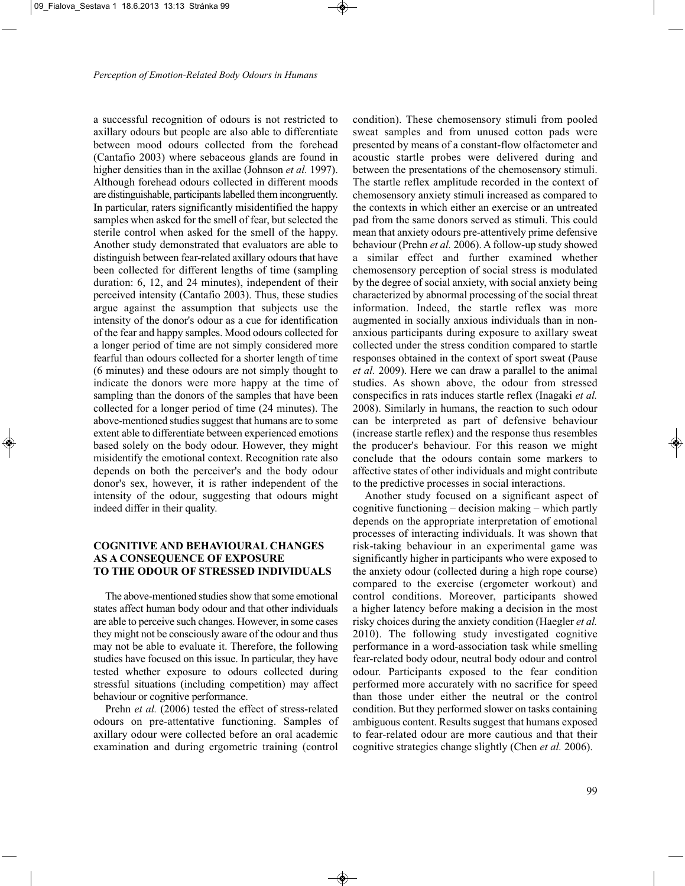a successful recognition of odours is not restricted to axillary odours but people are also able to differentiate between mood odours collected from the forehead (Cantafio 2003) where sebaceous glands are found in higher densities than in the axillae (Johnson *et al.* 1997). Although forehead odours collected in different moods are distinguishable, participants labelled them incongruently. In particular, raters significantly misidentified the happy samples when asked for the smell of fear, but selected the sterile control when asked for the smell of the happy. Another study demonstrated that evaluators are able to distinguish between fear-related axillary odours that have been collected for different lengths of time (sampling duration: 6, 12, and 24 minutes), independent of their perceived intensity (Cantafio 2003). Thus, these studies argue against the assumption that subjects use the intensity of the donor's odour as a cue for identification of the fear and happy samples. Mood odours collected for a longer period of time are not simply considered more fearful than odours collected for a shorter length of time (6 minutes) and these odours are not simply thought to indicate the donors were more happy at the time of sampling than the donors of the samples that have been collected for a longer period of time (24 minutes). The above-mentioned studies suggest that humans are to some extent able to differentiate between experienced emotions based solely on the body odour. However, they might misidentify the emotional context. Recognition rate also depends on both the perceiver's and the body odour donor's sex, however, it is rather independent of the intensity of the odour, suggesting that odours might indeed differ in their quality.

## **COGNITIVE AND BEHAVIOURAL CHANGES AS A CONSEQUENCE OF EXPOSURE TO THE ODOUR OF STRESSED INDIVIDUALS**

The above-mentioned studies show that some emotional states affect human body odour and that other individuals are able to perceive such changes. However, in some cases they might not be consciously aware of the odour and thus may not be able to evaluate it. Therefore, the following studies have focused on this issue. In particular, they have tested whether exposure to odours collected during stressful situations (including competition) may affect behaviour or cognitive performance.

Prehn *et al.* (2006) tested the effect of stress-related odours on pre-attentative functioning. Samples of axillary odour were collected before an oral academic examination and during ergometric training (control

condition). These chemosensory stimuli from pooled sweat samples and from unused cotton pads were presented by means of a constant-flow olfactometer and acoustic startle probes were delivered during and between the presentations of the chemosensory stimuli. The startle reflex amplitude recorded in the context of chemosensory anxiety stimuli increased as compared to the contexts in which either an exercise or an untreated pad from the same donors served as stimuli. This could mean that anxiety odours pre-attentively prime defensive behaviour (Prehn *et al.* 2006). A follow-up study showed a similar effect and further examined whether chemosensory perception of social stress is modulated by the degree of social anxiety, with social anxiety being characterized by abnormal processing of the social threat information. Indeed, the startle reflex was more augmented in socially anxious individuals than in nonanxious participants during exposure to axillary sweat collected under the stress condition compared to startle responses obtained in the context of sport sweat (Pause *et al.* 2009). Here we can draw a parallel to the animal studies. As shown above, the odour from stressed conspecifics in rats induces startle reflex (Inagaki *et al.* 2008). Similarly in humans, the reaction to such odour can be interpreted as part of defensive behaviour (increase startle reflex) and the response thus resembles the producer's behaviour. For this reason we might conclude that the odours contain some markers to affective states of other individuals and might contribute to the predictive processes in social interactions.

Another study focused on a significant aspect of cognitive functioning – decision making – which partly depends on the appropriate interpretation of emotional processes of interacting individuals. It was shown that risk-taking behaviour in an experimental game was significantly higher in participants who were exposed to the anxiety odour (collected during a high rope course) compared to the exercise (ergometer workout) and control conditions. Moreover, participants showed a higher latency before making a decision in the most risky choices during the anxiety condition (Haegler *et al.* 2010). The following study investigated cognitive performance in a word-association task while smelling fear-related body odour, neutral body odour and control odour. Participants exposed to the fear condition performed more accurately with no sacrifice for speed than those under either the neutral or the control condition. But they performed slower on tasks containing ambiguous content. Results suggest that humans exposed to fear-related odour are more cautious and that their cognitive strategies change slightly (Chen *et al.* 2006).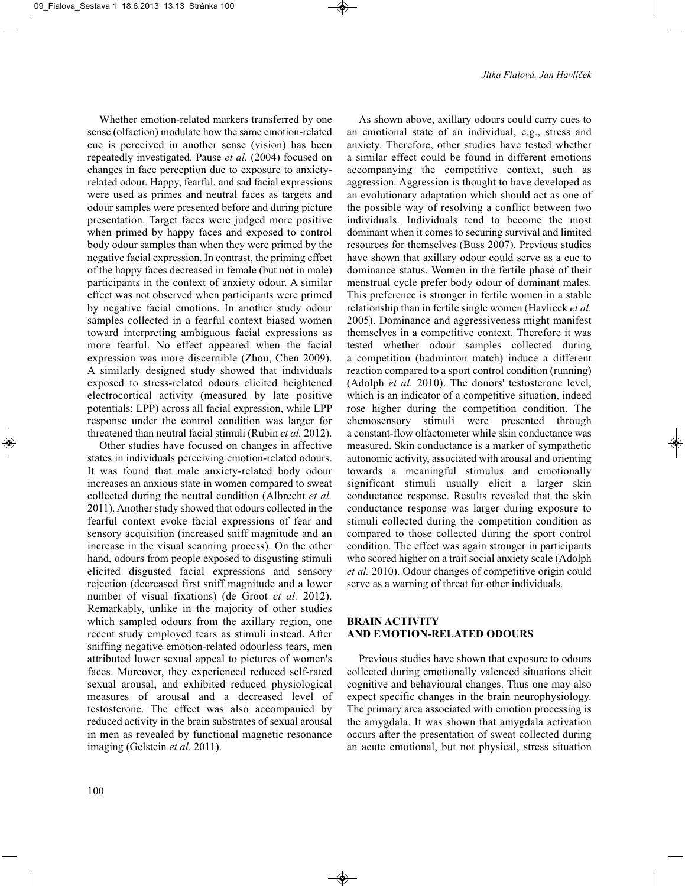Whether emotion-related markers transferred by one sense (olfaction) modulate how the same emotion-related cue is perceived in another sense (vision) has been repeatedly investigated. Pause *et al.* (2004) focused on changes in face perception due to exposure to anxietyrelated odour. Happy, fearful, and sad facial expressions were used as primes and neutral faces as targets and odour samples were presented before and during picture presentation. Target faces were judged more positive when primed by happy faces and exposed to control body odour samples than when they were primed by the negative facial expression. In contrast, the priming effect of the happy faces decreased in female (but not in male) participants in the context of anxiety odour. A similar effect was not observed when participants were primed by negative facial emotions. In another study odour samples collected in a fearful context biased women toward interpreting ambiguous facial expressions as more fearful. No effect appeared when the facial expression was more discernible (Zhou, Chen 2009). A similarly designed study showed that individuals exposed to stress-related odours elicited heightened electrocortical activity (measured by late positive potentials; LPP) across all facial expression, while LPP response under the control condition was larger for threatened than neutral facial stimuli (Rubin *et al.* 2012).

Other studies have focused on changes in affective states in individuals perceiving emotion-related odours. It was found that male anxiety-related body odour increases an anxious state in women compared to sweat collected during the neutral condition (Albrecht *et al.* 2011). Another study showed that odours collected in the fearful context evoke facial expressions of fear and sensory acquisition (increased sniff magnitude and an increase in the visual scanning process). On the other hand, odours from people exposed to disgusting stimuli elicited disgusted facial expressions and sensory rejection (decreased first sniff magnitude and a lower number of visual fixations) (de Groot *et al.* 2012). Remarkably, unlike in the majority of other studies which sampled odours from the axillary region, one recent study employed tears as stimuli instead. After sniffing negative emotion-related odourless tears, men attributed lower sexual appeal to pictures of women's faces. Moreover, they experienced reduced self-rated sexual arousal, and exhibited reduced physiological measures of arousal and a decreased level of testosterone. The effect was also accompanied by reduced activity in the brain substrates of sexual arousal in men as revealed by functional magnetic resonance imaging (Gelstein *et al.* 2011).

As shown above, axillary odours could carry cues to an emotional state of an individual, e.g., stress and anxiety. Therefore, other studies have tested whether a similar effect could be found in different emotions accompanying the competitive context, such as aggression. Aggression is thought to have developed as an evolutionary adaptation which should act as one of the possible way of resolving a conflict between two individuals. Individuals tend to become the most dominant when it comes to securing survival and limited resources for themselves (Buss 2007). Previous studies have shown that axillary odour could serve as a cue to dominance status. Women in the fertile phase of their menstrual cycle prefer body odour of dominant males. This preference is stronger in fertile women in a stable relationship than in fertile single women (Havlicek *et al.* 2005). Dominance and aggressiveness might manifest themselves in a competitive context. Therefore it was tested whether odour samples collected during a competition (badminton match) induce a different reaction compared to a sport control condition (running) (Adolph *et al.* 2010). The donors' testosterone level, which is an indicator of a competitive situation, indeed rose higher during the competition condition. The chemosensory stimuli were presented through a constant-flow olfactometer while skin conductance was measured. Skin conductance is a marker of sympathetic autonomic activity, associated with arousal and orienting towards a meaningful stimulus and emotionally significant stimuli usually elicit a larger skin conductance response. Results revealed that the skin conductance response was larger during exposure to stimuli collected during the competition condition as compared to those collected during the sport control condition. The effect was again stronger in participants who scored higher on a trait social anxiety scale (Adolph *et al.* 2010). Odour changes of competitive origin could serve as a warning of threat for other individuals.

# **BRAIN ACTIVITY AND EMOTION-RELATED ODOURS**

Previous studies have shown that exposure to odours collected during emotionally valenced situations elicit cognitive and behavioural changes. Thus one may also expect specific changes in the brain neurophysiology. The primary area associated with emotion processing is the amygdala. It was shown that amygdala activation occurs after the presentation of sweat collected during an acute emotional, but not physical, stress situation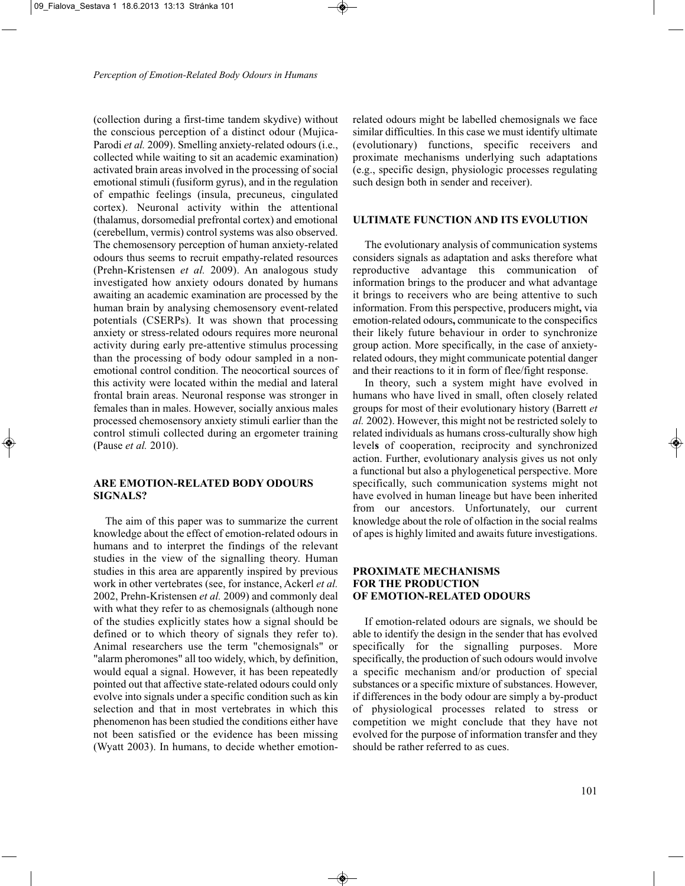(collection during a first-time tandem skydive) without the conscious perception of a distinct odour (Mujica-Parodi *et al.* 2009). Smelling anxiety-related odours (i.e., collected while waiting to sit an academic examination) activated brain areas involved in the processing of social emotional stimuli (fusiform gyrus), and in the regulation of empathic feelings (insula, precuneus, cingulated cortex). Neuronal activity within the attentional (thalamus, dorsomedial prefrontal cortex) and emotional (cerebellum, vermis) control systems was also observed. The chemosensory perception of human anxiety-related odours thus seems to recruit empathy-related resources (Prehn-Kristensen *et al.* 2009). An analogous study investigated how anxiety odours donated by humans awaiting an academic examination are processed by the human brain by analysing chemosensory event-related potentials (CSERPs). It was shown that processing anxiety or stress-related odours requires more neuronal activity during early pre-attentive stimulus processing than the processing of body odour sampled in a nonemotional control condition. The neocortical sources of this activity were located within the medial and lateral frontal brain areas. Neuronal response was stronger in females than in males. However, socially anxious males processed chemosensory anxiety stimuli earlier than the control stimuli collected during an ergometer training (Pause *et al.* 2010).

# **ARE EMOTION-RELATED BODY ODOURS SIGNALS?**

The aim of this paper was to summarize the current knowledge about the effect of emotion-related odours in humans and to interpret the findings of the relevant studies in the view of the signalling theory. Human studies in this area are apparently inspired by previous work in other vertebrates (see, for instance, Ackerl *et al.* 2002, Prehn-Kristensen *et al.* 2009) and commonly deal with what they refer to as chemosignals (although none of the studies explicitly states how a signal should be defined or to which theory of signals they refer to). Animal researchers use the term "chemosignals" or "alarm pheromones" all too widely, which, by definition, would equal a signal. However, it has been repeatedly pointed out that affective state-related odours could only evolve into signals under a specific condition such as kin selection and that in most vertebrates in which this phenomenon has been studied the conditions either have not been satisfied or the evidence has been missing (Wyatt 2003). In humans, to decide whether emotion-

related odours might be labelled chemosignals we face similar difficulties. In this case we must identify ultimate (evolutionary) functions, specific receivers and proximate mechanisms underlying such adaptations (e.g., specific design, physiologic processes regulating such design both in sender and receiver).

#### **ULTIMATE FUNCTION AND ITS EVOLUTION**

The evolutionary analysis of communication systems considers signals as adaptation and asks therefore what reproductive advantage this communication of information brings to the producer and what advantage it brings to receivers who are being attentive to such information. From this perspective, producers might**,** via emotion-related odours**,** communicate to the conspecifics their likely future behaviour in order to synchronize group action. More specifically, in the case of anxietyrelated odours, they might communicate potential danger and their reactions to it in form of flee/fight response.

In theory, such a system might have evolved in humans who have lived in small, often closely related groups for most of their evolutionary history (Barrett *et al.* 2002). However, this might not be restricted solely to related individuals as humans cross-culturally show high level**s** of cooperation, reciprocity and synchronized action. Further, evolutionary analysis gives us not only a functional but also a phylogenetical perspective. More specifically, such communication systems might not have evolved in human lineage but have been inherited from our ancestors. Unfortunately, our current knowledge about the role of olfaction in the social realms of apes is highly limited and awaits future investigations.

# **PROXIMATE MECHANISMS FOR THE PRODUCTION OF EMOTION-RELATED ODOURS**

If emotion-related odours are signals, we should be able to identify the design in the sender that has evolved specifically for the signalling purposes. More specifically, the production of such odours would involve a specific mechanism and/or production of special substances or a specific mixture of substances. However, if differences in the body odour are simply a by-product of physiological processes related to stress or competition we might conclude that they have not evolved for the purpose of information transfer and they should be rather referred to as cues.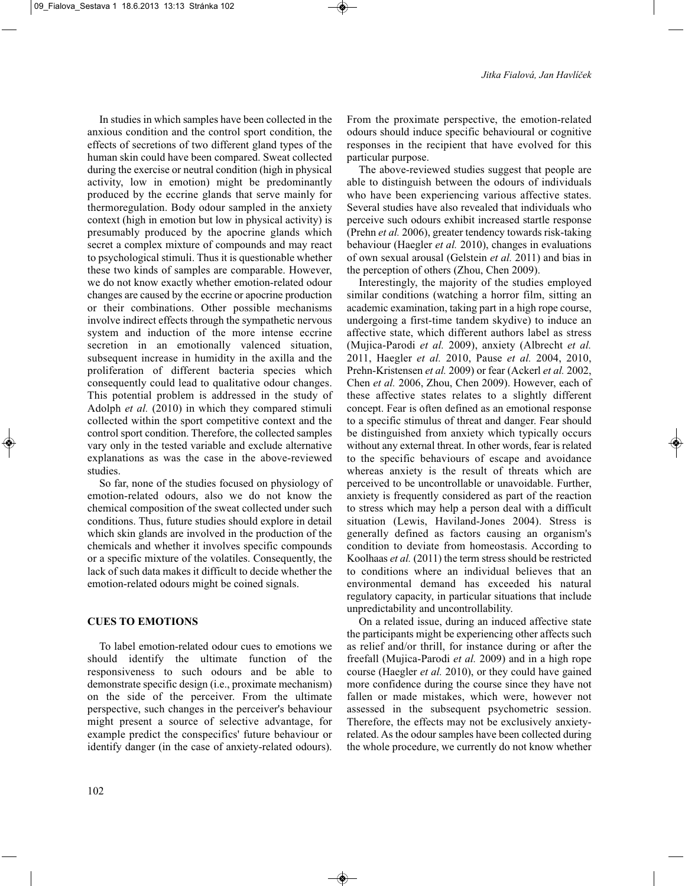In studies in which samples have been collected in the anxious condition and the control sport condition, the effects of secretions of two different gland types of the human skin could have been compared. Sweat collected during the exercise or neutral condition (high in physical activity, low in emotion) might be predominantly produced by the eccrine glands that serve mainly for thermoregulation. Body odour sampled in the anxiety context (high in emotion but low in physical activity) is presumably produced by the apocrine glands which secret a complex mixture of compounds and may react to psychological stimuli. Thus it is questionable whether these two kinds of samples are comparable. However, we do not know exactly whether emotion-related odour changes are caused by the eccrine or apocrine production or their combinations. Other possible mechanisms involve indirect effects through the sympathetic nervous system and induction of the more intense eccrine secretion in an emotionally valenced situation, subsequent increase in humidity in the axilla and the proliferation of different bacteria species which consequently could lead to qualitative odour changes. This potential problem is addressed in the study of Adolph *et al.* (2010) in which they compared stimuli collected within the sport competitive context and the control sport condition. Therefore, the collected samples vary only in the tested variable and exclude alternative explanations as was the case in the above-reviewed studies.

So far, none of the studies focused on physiology of emotion-related odours, also we do not know the chemical composition of the sweat collected under such conditions. Thus, future studies should explore in detail which skin glands are involved in the production of the chemicals and whether it involves specific compounds or a specific mixture of the volatiles. Consequently, the lack of such data makes it difficult to decide whether the emotion-related odours might be coined signals.

# **CUES TO EMOTIONS**

To label emotion-related odour cues to emotions we should identify the ultimate function of the responsiveness to such odours and be able to demonstrate specific design (i.e., proximate mechanism) on the side of the perceiver. From the ultimate perspective, such changes in the perceiver's behaviour might present a source of selective advantage, for example predict the conspecifics' future behaviour or identify danger (in the case of anxiety-related odours).

102

From the proximate perspective, the emotion-related odours should induce specific behavioural or cognitive responses in the recipient that have evolved for this particular purpose.

The above-reviewed studies suggest that people are able to distinguish between the odours of individuals who have been experiencing various affective states. Several studies have also revealed that individuals who perceive such odours exhibit increased startle response (Prehn *et al.* 2006), greater tendency towards risk-taking behaviour (Haegler *et al.* 2010), changes in evaluations of own sexual arousal (Gelstein *et al.* 2011) and bias in the perception of others (Zhou, Chen 2009).

Interestingly, the majority of the studies employed similar conditions (watching a horror film, sitting an academic examination, taking part in a high rope course, undergoing a first-time tandem skydive) to induce an affective state, which different authors label as stress (Mujica-Parodi *et al.* 2009), anxiety (Albrecht *et al.* 2011, Haegler *et al.* 2010, Pause *et al.* 2004, 2010, Prehn-Kristensen *et al.* 2009) or fear (Ackerl *et al.* 2002, Chen *et al.* 2006, Zhou, Chen 2009). However, each of these affective states relates to a slightly different concept. Fear is often defined as an emotional response to a specific stimulus of threat and danger. Fear should be distinguished from anxiety which typically occurs without any external threat. In other words, fear is related to the specific behaviours of escape and avoidance whereas anxiety is the result of threats which are perceived to be uncontrollable or unavoidable. Further, anxiety is frequently considered as part of the reaction to stress which may help a person deal with a difficult situation (Lewis, Haviland-Jones 2004). Stress is generally defined as factors causing an organism's condition to deviate from homeostasis. According to Koolhaas *et al.* (2011) the term stress should be restricted to conditions where an individual believes that an environmental demand has exceeded his natural regulatory capacity, in particular situations that include unpredictability and uncontrollability.

On a related issue, during an induced affective state the participants might be experiencing other affects such as relief and/or thrill, for instance during or after the freefall (Mujica-Parodi *et al.* 2009) and in a high rope course (Haegler *et al.* 2010), or they could have gained more confidence during the course since they have not fallen or made mistakes, which were, however not assessed in the subsequent psychometric session. Therefore, the effects may not be exclusively anxietyrelated. As the odour samples have been collected during the whole procedure, we currently do not know whether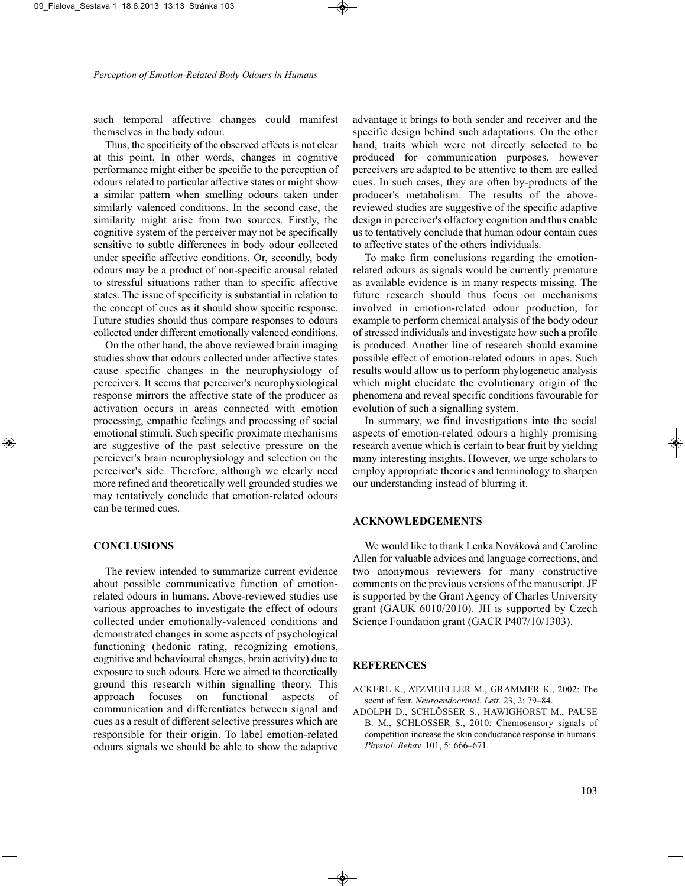such temporal affective changes could manifest themselves in the body odour.

Thus, the specificity of the observed effects is not clear at this point. In other words, changes in cognitive performance might either be specific to the perception of odours related to particular affective states or might show a similar pattern when smelling odours taken under similarly valenced conditions. In the second case, the similarity might arise from two sources. Firstly, the cognitive system of the perceiver may not be specifically sensitive to subtle differences in body odour collected under specific affective conditions. Or, secondly, body odours may be a product of non-specific arousal related to stressful situations rather than to specific affective states. The issue of specificity is substantial in relation to the concept of cues as it should show specific response. Future studies should thus compare responses to odours collected under different emotionally valenced conditions.

On the other hand, the above reviewed brain imaging studies show that odours collected under affective states cause specific changes in the neurophysiology of perceivers. It seems that perceiver's neurophysiological response mirrors the affective state of the producer as activation occurs in areas connected with emotion processing, empathic feelings and processing of social emotional stimuli. Such specific proximate mechanisms are suggestive of the past selective pressure on the perciever's brain neurophysiology and selection on the perceiver's side. Therefore, although we clearly need more refined and theoretically well grounded studies we may tentatively conclude that emotion-related odours can be termed cues.

## **CONCLUSIONS**

The review intended to summarize current evidence about possible communicative function of emotionrelated odours in humans. Above-reviewed studies use various approaches to investigate the effect of odours collected under emotionally-valenced conditions and demonstrated changes in some aspects of psychological functioning (hedonic rating, recognizing emotions, cognitive and behavioural changes, brain activity) due to exposure to such odours. Here we aimed to theoretically ground this research within signalling theory. This approach focuses on functional aspects of communication and differentiates between signal and cues as a result of different selective pressures which are responsible for their origin. To label emotion-related odours signals we should be able to show the adaptive

advantage it brings to both sender and receiver and the specific design behind such adaptations. On the other hand, traits which were not directly selected to be produced for communication purposes, however perceivers are adapted to be attentive to them are called cues. In such cases, they are often by-products of the producer's metabolism. The results of the abovereviewed studies are suggestive of the specific adaptive design in perceiver's olfactory cognition and thus enable us to tentatively conclude that human odour contain cues to affective states of the others individuals.

To make firm conclusions regarding the emotionrelated odours as signals would be currently premature as available evidence is in many respects missing. The future research should thus focus on mechanisms involved in emotion-related odour production, for example to perform chemical analysis of the body odour of stressed individuals and investigate how such a profile is produced. Another line of research should examine possible effect of emotion-related odours in apes. Such results would allow us to perform phylogenetic analysis which might elucidate the evolutionary origin of the phenomena and reveal specific conditions favourable for evolution of such a signalling system.

In summary, we find investigations into the social aspects of emotion-related odours a highly promising research avenue which is certain to bear fruit by yielding many interesting insights. However, we urge scholars to employ appropriate theories and terminology to sharpen our understanding instead of blurring it.

#### **ACKNOWLEDGEMENTS**

We would like to thank Lenka Nováková and Caroline Allen for valuable advices and language corrections, and two anonymous reviewers for many constructive comments on the previous versions of the manuscript. JF is supported by the Grant Agency of Charles University grant (GAUK 6010/2010). JH is supported by Czech Science Foundation grant (GACR P407/10/1303).

#### **REFERENCES**

ACKERL K., ATZMUELLER M., GRAMMER K., 2002: The scent of fear. *Neuroendocrinol. Lett.* 23, 2: 79–84.

ADOLPH D., SCHLÖSSER S., HAWIGHORST M., PAUSE B. M., SCHLOSSER S., 2010: Chemosensory signals of competition increase the skin conductance response in humans. *Physiol. Behav.* 101, 5: 666–671.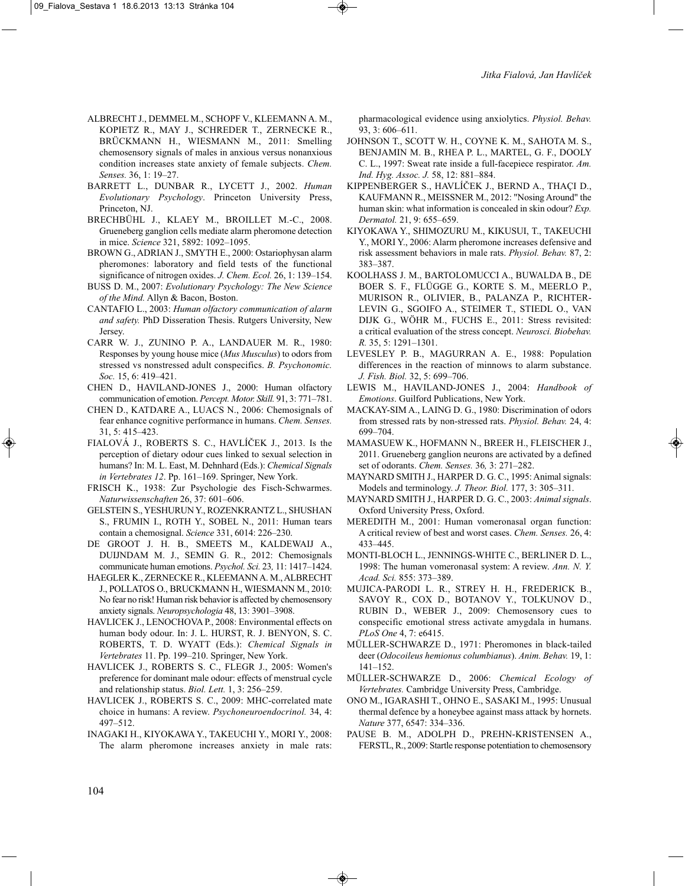- ALBRECHT J., DEMMEL M., SCHOPF V., KLEEMANN A. M., KOPIETZ R., MAY J., SCHREDER T., ZERNECKE R., BRÜCKMANN H., WIESMANN M., 2011: Smelling chemosensory signals of males in anxious versus nonanxious condition increases state anxiety of female subjects. *Chem. Senses.* 36, 1: 19–27.
- BARRETT L., DUNBAR R., LYCETT J., 2002. *Human Evolutionary Psychology*. Princeton University Press, Princeton, NJ.
- BRECHBÜHL J., KLAEY M., BROILLET M.-C., 2008. Grueneberg ganglion cells mediate alarm pheromone detection in mice. *Science* 321, 5892: 1092–1095.
- BROWN G., ADRIAN J., SMYTH E., 2000: Ostariophysan alarm pheromones: laboratory and field tests of the functional significance of nitrogen oxides. *J. Chem. Ecol.* 26, 1: 139–154.
- BUSS D. M., 2007: *Evolutionary Psychology: The New Science of the Mind.* Allyn & Bacon, Boston.
- CANTAFIO L., 2003: *Human olfactory communication of alarm and safety.* PhD Disseration Thesis. Rutgers University, New Jersey.
- CARR W. J., ZUNINO P. A., LANDAUER M. R., 1980: Responses by young house mice (*Mus Musculus*) to odors from stressed vs nonstressed adult conspecifics. *B. Psychonomic. Soc.* 15, 6: 419–421.
- CHEN D., HAVILAND-JONES J., 2000: Human olfactory communication of emotion. *Percept. Motor. Skill.* 91, 3: 771–781.
- CHEN D., KATDARE A., LUACS N., 2006: Chemosignals of fear enhance cognitive performance in humans. *Chem. Senses.* 31, 5: 415–423.
- FIALOVÁ J., ROBERTS S. C., HAVLÍČEK J., 2013. Is the perception of dietary odour cues linked to sexual selection in humans? In: M. L. East, M. Dehnhard (Eds.): *Chemical Signals in Vertebrates 12*. Pp. 161–169. Springer, New York.
- FRISCH K., 1938: Zur Psychologie des Fisch-Schwarmes. *Naturwissenschaften* 26, 37: 601–606.
- GELSTEIN S., YESHURUN Y., ROZENKRANTZ L., SHUSHAN S., FRUMIN I., ROTH Y., SOBEL N., 2011: Human tears contain a chemosignal. *Science* 331, 6014: 226–230.
- DE GROOT J. H. B., SMEETS M., KALDEWAIJ A., DUIJNDAM M. J., SEMIN G. R., 2012: Chemosignals communicate human emotions. *Psychol. Sci.* 23*,* 11: 1417–1424.
- HAEGLER K., ZERNECKE R., KLEEMANN A. M., ALBRECHT J., POLLATOS O., BRUCKMANN H., WIESMANN M., 2010: No fear no risk! Human risk behavior is affected by chemosensory anxiety signals. *Neuropsychologia* 48, 13: 3901–3908.
- HAVLICEK J., LENOCHOVA P., 2008: Environmental effects on human body odour. In: J. L. HURST, R. J. BENYON, S. C. ROBERTS, T. D. WYATT (Eds.): *Chemical Signals in Vertebrates* 11. Pp. 199–210. Springer, New York.
- HAVLICEK J., ROBERTS S. C., FLEGR J., 2005: Women's preference for dominant male odour: effects of menstrual cycle and relationship status. *Biol. Lett.* 1, 3: 256–259.
- HAVLICEK J., ROBERTS S. C., 2009: MHC-correlated mate choice in humans: A review. *Psychoneuroendocrinol.* 34, 4: 497–512.
- INAGAKI H., KIYOKAWA Y., TAKEUCHI Y., MORI Y., 2008: The alarm pheromone increases anxiety in male rats:

pharmacological evidence using anxiolytics. *Physiol. Behav.* 93, 3: 606–611.

- JOHNSON T., SCOTT W. H., COYNE K. M., SAHOTA M. S., BENJAMIN M. B., RHEA P. L., MARTEL, G. F., DOOLY C. L., 1997: Sweat rate inside a full-facepiece respirator. *Am. Ind. Hyg. Assoc. J.* 58, 12: 881–884.
- KIPPENBERGER S., HAVLÍČEK J., BERND A., THAÇI D., KAUFMANN R., MEISSNER M., 2012: "Nosing Around" the human skin: what information is concealed in skin odour? *Exp. Dermatol.* 21, 9: 655–659.
- KIYOKAWA Y., SHIMOZURU M., KIKUSUI, T., TAKEUCHI Y., MORI Y., 2006: Alarm pheromone increases defensive and risk assessment behaviors in male rats. *Physiol. Behav.* 87, 2: 383–387.
- KOOLHASS J. M., BARTOLOMUCCI A., BUWALDA B., DE BOER S. F., FLÜGGE G., KORTE S. M., MEERLO P., MURISON R., OLIVIER, B., PALANZA P., RICHTER-LEVIN G., SGOIFO A., STEIMER T., STIEDL O., VAN DIJK G., WÖHR M., FUCHS E., 2011: Stress revisited: a critical evaluation of the stress concept. *Neurosci. Biobehav. R.* 35, 5: 1291–1301.
- LEVESLEY P. B., MAGURRAN A. E., 1988: Population differences in the reaction of minnows to alarm substance. *J. Fish. Biol.* 32, 5: 699–706.
- LEWIS M., HAVILAND-JONES J., 2004: *Handbook of Emotions*. Guilford Publications, New York.
- MACKAY-SIM A., LAING D. G., 1980: Discrimination of odors from stressed rats by non-stressed rats. *Physiol. Behav.* 24, 4: 699–704.
- MAMASUEW K., HOFMANN N., BREER H., FLEISCHER J., 2011. Grueneberg ganglion neurons are activated by a defined set of odorants. *Chem. Senses.* 36*,* 3: 271–282.
- MAYNARD SMITH J., HARPER D. G. C., 1995: Animal signals: Models and terminology. *J. Theor. Biol.* 177, 3: 305–311.
- MAYNARD SMITH J., HARPER D. G. C., 2003: *Animal signals*. Oxford University Press, Oxford.
- MEREDITH M., 2001: Human vomeronasal organ function: A critical review of best and worst cases. *Chem. Senses.* 26, 4: 433–445.
- MONTI-BLOCH L., JENNINGS-WHITE C., BERLINER D. L., 1998: The human vomeronasal system: A review. *Ann. N. Y. Acad. Sci.* 855: 373–389.
- MUJICA-PARODI L. R., STREY H. H., FREDERICK B., SAVOY R., COX D., BOTANOV Y., TOLKUNOV D., RUBIN D., WEBER J., 2009: Chemosensory cues to conspecific emotional stress activate amygdala in humans. *PLoS One* 4, 7: e6415.
- MÜLLER-SCHWARZE D., 1971: Pheromones in black-tailed deer (*Odocoileus hemionus columbianus*). *Anim. Behav.* 19, 1: 141–152.
- MÜLLER-SCHWARZE D., 2006: *Chemical Ecology of Vertebrates.* Cambridge University Press, Cambridge.
- ONO M., IGARASHI T., OHNO E., SASAKI M., 1995: Unusual thermal defence by a honeybee against mass attack by hornets. *Nature* 377, 6547: 334–336.
- PAUSE B. M., ADOLPH D., PREHN-KRISTENSEN A., FERSTL, R., 2009: Startle response potentiation to chemosensory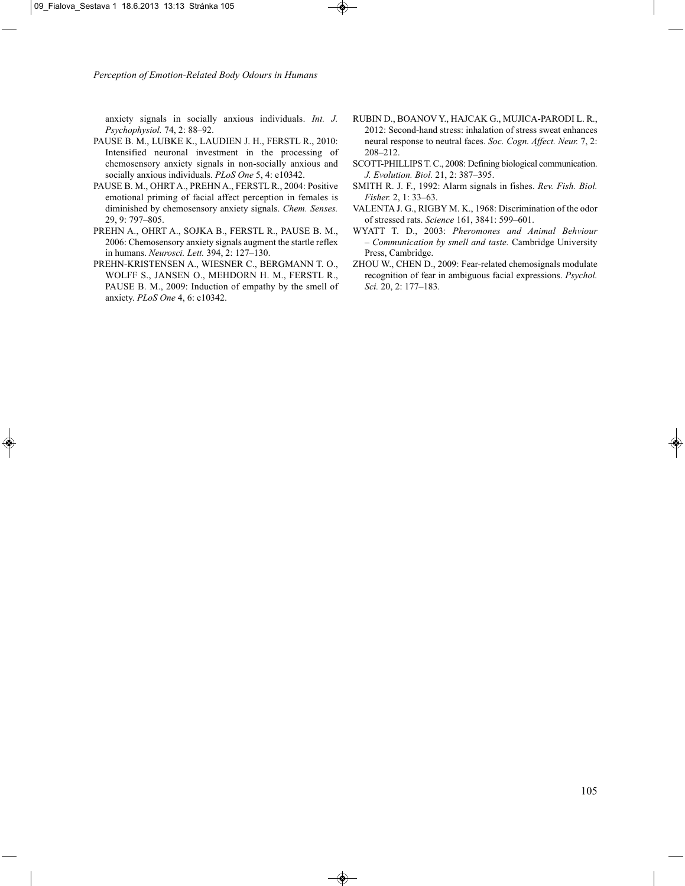anxiety signals in socially anxious individuals. *Int. J. Psychophysiol.* 74, 2: 88–92.

- PAUSE B. M., LUBKE K., LAUDIEN J. H., FERSTL R., 2010: Intensified neuronal investment in the processing of chemosensory anxiety signals in non-socially anxious and socially anxious individuals. *PLoS One* 5, 4: e10342.
- PAUSE B. M., OHRT A., PREHN A., FERSTL R., 2004: Positive emotional priming of facial affect perception in females is diminished by chemosensory anxiety signals. *Chem. Senses.* 29, 9: 797–805.
- PREHN A., OHRT A., SOJKA B., FERSTL R., PAUSE B. M., 2006: Chemosensory anxiety signals augment the startle reflex in humans. *Neurosci. Lett.* 394, 2: 127–130.
- PREHN-KRISTENSEN A., WIESNER C., BERGMANN T. O., WOLFF S., JANSEN O., MEHDORN H. M., FERSTL R., PAUSE B. M., 2009: Induction of empathy by the smell of anxiety. *PLoS One* 4, 6: e10342.
- RUBIN D., BOANOV Y., HAJCAK G., MUJICA-PARODI L. R., 2012: Second-hand stress: inhalation of stress sweat enhances neural response to neutral faces. *Soc. Cogn. Affect. Neur.* 7, 2: 208–212.
- SCOTT-PHILLIPS T. C., 2008: Defining biological communication. *J. Evolution. Biol.* 21, 2: 387–395.
- SMITH R. J. F., 1992: Alarm signals in fishes. *Rev. Fish. Biol. Fisher.* 2, 1: 33–63.
- VALENTA J. G., RIGBY M. K., 1968: Discrimination of the odor of stressed rats. *Science* 161, 3841: 599–601.
- WYATT T. D., 2003: *Pheromones and Animal Behviour – Communication by smell and taste.* Cambridge University Press, Cambridge.
- ZHOU W., CHEN D., 2009: Fear-related chemosignals modulate recognition of fear in ambiguous facial expressions. *Psychol. Sci.* 20, 2: 177–183.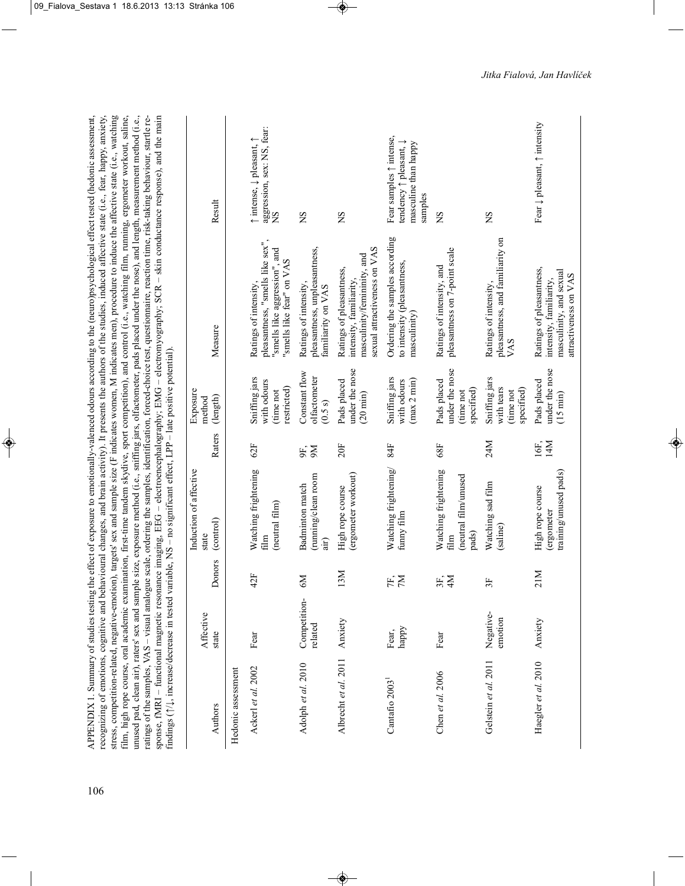|                            |                         |                | findings ( $\uparrow/\downarrow$ , increase/decrease in tested variable, NS - no significant effect, LPP - late positive potential). |             |                                                          | recognizing of emotions, cognitive and behavioural changes, and brain activity). It presents the authors of the studies, induced affective state (i.e., fear, happy, anxiety,<br>stress, competition-related, negative-emotion), targets' sex and sample size (F indicates women, M indicates men), procedure to induce the affective state (i.e., watching<br>unused pad, clean air), raters' sex and sample size, exposure method (i.e., sniffing jars, olfactometer, pads placed under the nose), and length, measurement method (i.e.,<br>film, high rope course, oral academic examination, first-time tandem skydive, sport competition), and control (i.e., watching film, running, ergometer workout, saline,<br>ratings of the samples, VAS - visual analogue scale, ordering the samples, identification, forced-choice test, questionnaire, reaction time, risk-taking behaviour, startle re-<br>sponse, fMRI - functional magnetic resonance imaging, EEG - electroencephalography; EMG - electromyography; SCR - skin conductance response), and the main |                                                                                      |
|----------------------------|-------------------------|----------------|--------------------------------------------------------------------------------------------------------------------------------------|-------------|----------------------------------------------------------|------------------------------------------------------------------------------------------------------------------------------------------------------------------------------------------------------------------------------------------------------------------------------------------------------------------------------------------------------------------------------------------------------------------------------------------------------------------------------------------------------------------------------------------------------------------------------------------------------------------------------------------------------------------------------------------------------------------------------------------------------------------------------------------------------------------------------------------------------------------------------------------------------------------------------------------------------------------------------------------------------------------------------------------------------------------------|--------------------------------------------------------------------------------------|
| Authors                    | Affective<br>state      | Donors         | Induction of affective<br>(control)<br>state                                                                                         | Raters      | Exposure<br>(length)<br>method                           | Measure                                                                                                                                                                                                                                                                                                                                                                                                                                                                                                                                                                                                                                                                                                                                                                                                                                                                                                                                                                                                                                                                | Result                                                                               |
| Hedonic assessment         |                         |                |                                                                                                                                      |             |                                                          |                                                                                                                                                                                                                                                                                                                                                                                                                                                                                                                                                                                                                                                                                                                                                                                                                                                                                                                                                                                                                                                                        |                                                                                      |
| Ackerl et al. 2002         | Fear                    | 42F            | Watching frightening<br>(neutral film)<br>film                                                                                       | 62F         | Sniffing jars<br>with odours<br>restricted)<br>(time not | pleasantness, "smells like sex",<br>"smells like aggression", and<br>"smells like fear" on VAS<br>Ratings of intensity,                                                                                                                                                                                                                                                                                                                                                                                                                                                                                                                                                                                                                                                                                                                                                                                                                                                                                                                                                | aggression, sex: NS, fear:<br>↑ intense, ↓ pleasant, ↑<br>SN                         |
| Adolph et al. 2010         | Competition-<br>related | $\mathbb{N}^9$ | (running/clean room<br><b>Badminton</b> match<br>air)                                                                                | 9K<br>9M    | Constant flow<br>olfactometer<br>(0.5 s)                 | pleasantness, unpleasantness,<br>Ratings of intensity,<br>familiarity on VAS                                                                                                                                                                                                                                                                                                                                                                                                                                                                                                                                                                                                                                                                                                                                                                                                                                                                                                                                                                                           | SN                                                                                   |
| Albrecht et al. 2011       | Anxiety                 | 13M            | (ergometer workout)<br>High rope course                                                                                              | 20F         | under the nose<br>Pads placed<br>$(20 \text{ min})$      | sexual attractiveness on VAS<br>masculinity/femininity, and<br>Ratings of pleasantness,<br>intensity, familiarity,                                                                                                                                                                                                                                                                                                                                                                                                                                                                                                                                                                                                                                                                                                                                                                                                                                                                                                                                                     | ŠN                                                                                   |
| Cantafio 2003 <sup>1</sup> | happy<br>Fear,          | FF,            | Watching frightening/<br>funny film                                                                                                  | 84F         | Sniffing jars<br>(max 2 min)<br>with odours              | Ordering the samples according<br>to intensity (pleasantness,<br>masculinity)                                                                                                                                                                                                                                                                                                                                                                                                                                                                                                                                                                                                                                                                                                                                                                                                                                                                                                                                                                                          | Fear samples 1 intense,<br>tendency ↑ pleasant, ↓<br>masculine than happy<br>samples |
| Chen et al. $2006$         | Fear                    | 3F,<br>4M      | Watching frightening<br>(neutral film/unused<br>pads)<br>film                                                                        | 68F         | under the nose<br>Pads placed<br>specified)<br>(time not | pleasantness on 7-point scale<br>Ratings of intensity, and                                                                                                                                                                                                                                                                                                                                                                                                                                                                                                                                                                                                                                                                                                                                                                                                                                                                                                                                                                                                             | SN                                                                                   |
| Gelstein et al. 2011       | Negative-<br>emotion    | 3F             | Watching sad film<br>(saline)                                                                                                        | 24M         | Sniffing jars<br>with tears<br>specified)<br>(time not   | pleasantness, and familiarity on<br>Ratings of intensity,<br>VAS                                                                                                                                                                                                                                                                                                                                                                                                                                                                                                                                                                                                                                                                                                                                                                                                                                                                                                                                                                                                       | SN                                                                                   |
| Haegler et al. 2010        | Anxiety                 | 21M            | training/unused pads)<br>High rope course<br>(ergometer                                                                              | 14M<br>16F, | under the nose<br>Pads placed<br>$(15 \text{ min})$      | Ratings of pleasantness,<br>masculinity, and sexual<br>attractiveness on VAS<br>intensity, familiarity,                                                                                                                                                                                                                                                                                                                                                                                                                                                                                                                                                                                                                                                                                                                                                                                                                                                                                                                                                                | Fear ↓ pleasant, ↑ intensity                                                         |

106

APPENDIX 1. Summary of studies testing the effect of exposure to emotionally-valenced odours according to the (neuro)psychological effect tested (hedonic assessment, recognizing of emotions, cognitive and behavioural changes, and brain activity). It presents the authors of the studies, induced affective state (i.e., fear, happy, anxiety,

APPENDIX 1. Summary of studies testing the effect of exposure to emotionally-valenced odours according to the (neuro)psychological effect tested (hedonic assessment,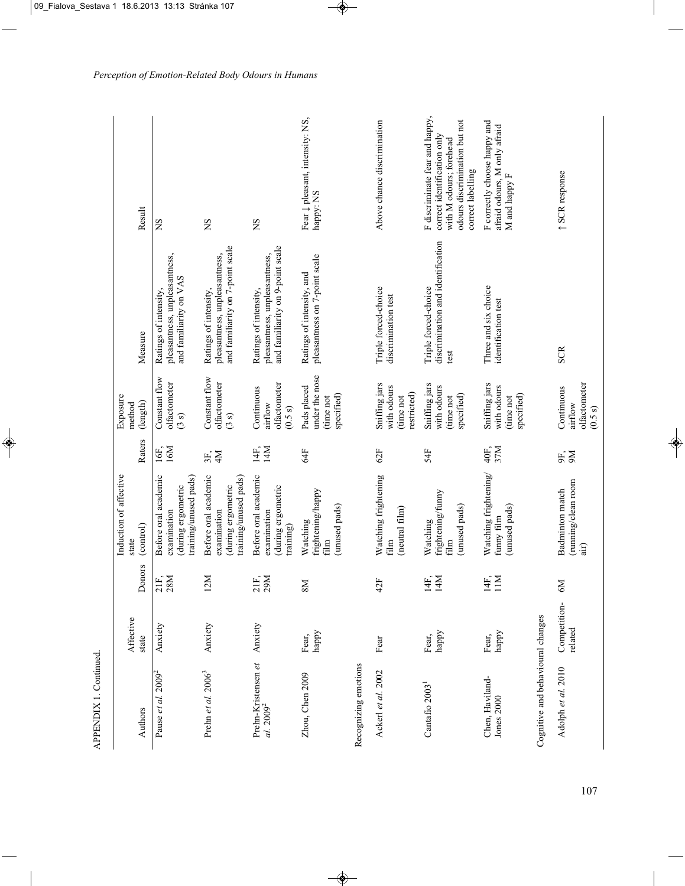| Authors                                      | Affective<br>state                           | Donors                | Induction of affective<br>(control)<br>state                                      | Raters      | Exposure<br>(length)<br>method                           | Measure                                                                                    | Result                                                                                                                                         |
|----------------------------------------------|----------------------------------------------|-----------------------|-----------------------------------------------------------------------------------|-------------|----------------------------------------------------------|--------------------------------------------------------------------------------------------|------------------------------------------------------------------------------------------------------------------------------------------------|
| Pause et al. $2009^2$                        | Anxiety                                      | $\frac{28}{3}$<br>21F | Before oral academic<br>training/unused pads)<br>during ergometric<br>examination | 16F,<br>16M | Constant flow<br>olfactometer<br>(3s)                    | pleasantness, unpleasantness,<br>and familiarity on VAS<br>Ratings of intensity,           | SN                                                                                                                                             |
| Prehn et al. 2006 <sup>3</sup>               | Anxiety                                      | 12M                   | Before oral academic<br>training/unused pads)<br>during ergometric<br>examination | 3F,         | Constant flow<br>olfactometer<br>(3s)                    | and familiarity on 7-point scale<br>pleasantness, unpleasantness,<br>Ratings of intensity, | SN                                                                                                                                             |
| Prehn-Kristensen et<br>al. 2009 <sup>2</sup> | Anxiety                                      | 21F,<br>29M           | Before oral academic<br>during ergometric<br>examination<br>training)             | 14M<br>14F, | olfactometer<br>Continuous<br>airflow<br>(0.5 s)         | and familiarity on 9-point scale<br>pleasantness, unpleasantness,<br>Ratings of intensity, | SN                                                                                                                                             |
| Zhou, Chen 2009                              | ${\rm \, map} {\rm \, y}$<br>Fear,           | N8                    | frightening/happy<br>(unused pads)<br>Watching<br>$\frac{m}{2}$                   | 54F         | under the nose<br>Pads placed<br>specified)<br>(time not | pleasantness on 7-point scale<br>Ratings of intensity, and                                 | Fear $\downarrow$ pleasant, intensity: NS,<br>happy: NS                                                                                        |
| Recognizing emotions                         |                                              |                       |                                                                                   |             |                                                          |                                                                                            |                                                                                                                                                |
| Ackerl et al. 2002                           | Fear                                         | 42F                   | Watching frightening<br>(neutral film)<br>film                                    | 62F         | Sniffing jars<br>with odours<br>restricted)<br>(time not | Triple forced-choice<br>discrimination test                                                | Above chance discrimination                                                                                                                    |
| Cantafio 2003 <sup>1</sup>                   | happy $% \left( \mathcal{N}\right)$<br>Fear, | 14F,<br>14M           | frightening/funny<br>(unused pads)<br>Watching<br>$\lim$                          | 54F         | Sniffing jars<br>with odours<br>specified)<br>(time not  | discrimination and identification<br>Triple forced-choice<br>test                          | F discriminate fear and happy,<br>odours discrimination but not<br>correct identification only<br>with M odours; forehead<br>correct labelling |
| Chen, Haviland-<br><b>Jones 2000</b>         | ${\tt map} {\tt y}$<br>Fear,                 | 14F,<br>11M           | Watching frightening/<br>(unused pads)<br>funny film                              | 40F.<br>37M | Sniffing jars<br>with odours<br>specified)<br>(time not  | Three and six choice<br>identification test                                                | F correctly choose happy and<br>afraid odours, M only afraid<br>M and happy F                                                                  |
| Cognitive and behavioural changes            |                                              |                       |                                                                                   |             |                                                          |                                                                                            |                                                                                                                                                |
| Adolph et al. 2010                           | Competition-<br>related                      | M <sub>0</sub>        | (running/clean room<br><b>Badminton</b> match<br>air)                             | 9K,         | olfactometer<br>Continuous<br>airflow<br>(0.5 s)         | <b>SCR</b>                                                                                 | <b>1 SCR</b> response                                                                                                                          |

APPENDIX 1. Continued.

APPENDIX 1. Continued.

107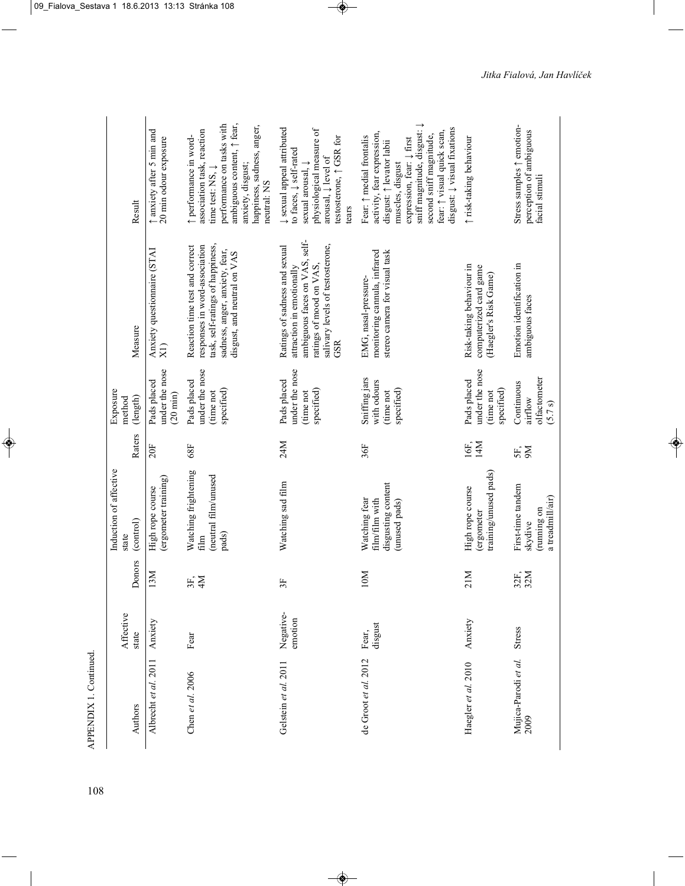| APPENDIX 1. Continued.       |                      |                     | Induction of affective                                                 |               | Exposure                                                 |                                                                                                                                                                      |                                                                                                                                                                                                                                                                                                               |
|------------------------------|----------------------|---------------------|------------------------------------------------------------------------|---------------|----------------------------------------------------------|----------------------------------------------------------------------------------------------------------------------------------------------------------------------|---------------------------------------------------------------------------------------------------------------------------------------------------------------------------------------------------------------------------------------------------------------------------------------------------------------|
| Authors                      | Affective<br>state   | Donors              | (control)<br>state                                                     | Raters        | (length)<br>method                                       | Measure                                                                                                                                                              | Result                                                                                                                                                                                                                                                                                                        |
| Albrecht et al. 2011         | Anxiety              | 13M                 | (ergometer training)<br>High rope course                               | 20F           | under the nose<br>Pads placed<br>$(20 \min)$             | Anxiety questionnaire (STAI<br>$\widetilde{X}$                                                                                                                       | ↑ anxiety after 5 min and<br>20 min odour exposure                                                                                                                                                                                                                                                            |
| Chen et al. 2006             | Fear                 | 3F,<br>4M           | Watching frightening<br>(neutral film/unused<br>pads)<br>film          | 68F           | under the nose<br>Pads placed<br>specified)<br>(time not | task, self-ratings of happiness,<br>Reaction time test and correct<br>responses in word-association<br>sadness, anger, anxiety, fear,<br>disgust, and neutral on VAS | ambiguous content, $\uparrow$ fear,<br>performance on tasks with<br>happiness, sadness, anger,<br>association task, reaction<br>↑ performance in word-<br>anxiety, disgust;<br>time test: NS, $\downarrow$<br>neutral: NS                                                                                     |
| Gelstein et al. 2011         | Negative-<br>emotion | 35                  | Watching sad film                                                      | 24M           | under the nose<br>Pads placed<br>specified)<br>(time not | ambiguous faces on VAS, self-<br>salivary levels of testosterone,<br>Ratings of sadness and sexual<br>ratings of mood on VAS,<br>attraction in emotionally<br>GSR    | ↓ sexual appeal attributed<br>physiological measure of<br>testosterone, $\uparrow$ GSR for<br>to faces, $\downarrow$ self-rated<br>arousal, $\downarrow$ level of<br>sexual arousal, $\downarrow$<br>tears                                                                                                    |
| de Groot et al. 2012         | disgust<br>Fear,     | 10M                 | disgusting content<br>Watching fear<br>film/film with<br>(unused pads) | 36F           | Sniffing jars<br>with odours<br>specified)<br>(time not  | monitoring cannula, infrared<br>stereo camera for visual task<br>EMG, nasal-pressure-                                                                                | sniff magnitude, disgust: $\downarrow$<br>disgust: $\downarrow$ visual fixations<br>fear: $\uparrow$ visual quick scan,<br>activity, fear expression,<br>second sniff magnitude,<br>Fear: $\uparrow$ medial frontalis<br>expression, fear: $\downarrow$ first<br>disgust: ↑ levator labii<br>muscles, disgust |
| Haegler et al. 2010          | Anxiety              | Σ<br>$\overline{2}$ | training/unused pads)<br>High rope course<br>ergometer                 | 14M<br>$16$ E | under the nose<br>Pads placed<br>specified)<br>time not  | Risk-taking behaviour in<br>computerized card game<br>(Haegler's Risk Game)                                                                                          | ↑ risk-taking behaviour                                                                                                                                                                                                                                                                                       |
| Mujica-Parodi et al.<br>2009 | Stress               | 32F,<br>32M         | First-time tandem<br>a treadmill/air)<br>maning on<br>skydive          | 5F,<br>Йб     | olfactometer<br>Continuous<br>airflow<br>(5.7 s)         | Emotion identification in<br>ambiguous faces                                                                                                                         | Stress samples $\uparrow$ emotion-<br>perception of ambiguous<br>facial stimuli                                                                                                                                                                                                                               |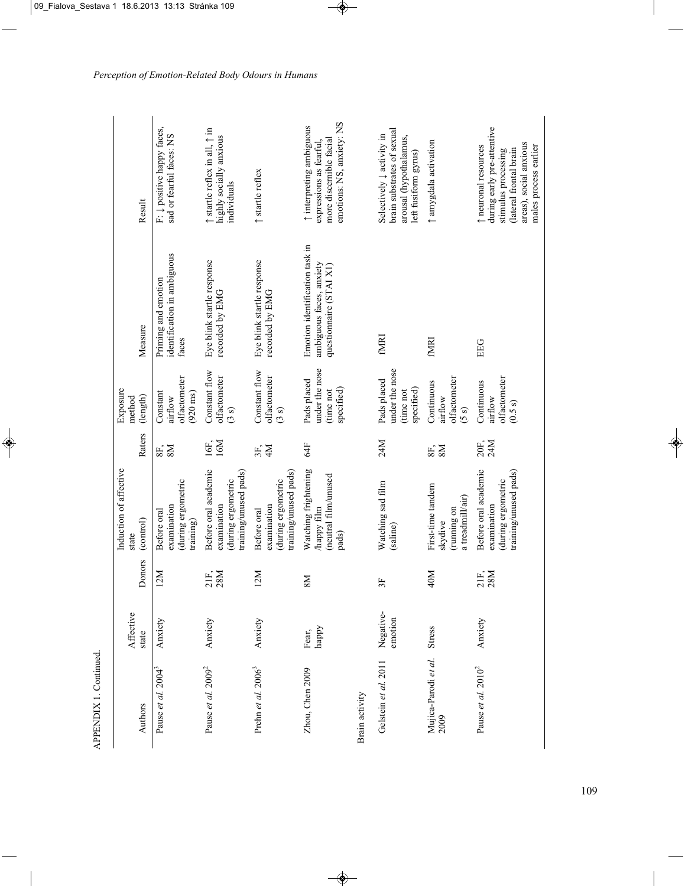| Authors                      | Affective<br>state   | Donors      | Induction of affective<br>(control)<br>state                                      | Raters                | Exposure<br>(length)<br>method                            | Measure                                                                              | Result                                                                                                                                                 |
|------------------------------|----------------------|-------------|-----------------------------------------------------------------------------------|-----------------------|-----------------------------------------------------------|--------------------------------------------------------------------------------------|--------------------------------------------------------------------------------------------------------------------------------------------------------|
| Pause et al. $2004^3$        | Anxiety              | 12M         | during ergometric<br>examination<br>Before oral<br>training)                      | 8E,                   | olfactometer<br>Constant<br>$(920 \text{ ms})$<br>airflow | identification in ambiguous<br>Priming and emotion<br>faces                          | F: $\downarrow$ positive happy faces,<br>sad or fearful faces: NS                                                                                      |
| Pause et al. $20092$         | Anxiety              | 21F,<br>28M | Before oral academic<br>training/unused pads)<br>during ergometric<br>examination | 16M<br>16F.           | Constant flow<br>olfactometer<br>(3s)                     | Eye blink startle response<br>recorded by EMG                                        | $\uparrow$ startle reflex in all, $\uparrow$ in<br>highly socially anxious<br>individuals                                                              |
| Prehn et al. $20063$         | Anxiety              | 12M         | training/unused pads)<br>during ergometric<br>examination<br>Before oral          | $3F$ , $\overline{M}$ | Constant flow<br>olfactometer<br>(3s)                     | Eye blink startle response<br>recorded by EMG                                        | $\uparrow$ startle reflex                                                                                                                              |
| Zhou, Chen 2009              | happy<br>Fear,       | <b>NS</b>   | Watching frightening<br>(neutral film/unused<br>happy film<br>pads)               | 64F                   | under the nose<br>Pads placed<br>specified)<br>(time not  | Emotion identification task in<br>ambiguous faces, anxiety<br>questionnaire (STAI X1 | emotions: NS, anxiety: NS<br>t interpreting ambiguous<br>more discernible facial<br>expressions as fearful,                                            |
| Brain activity               |                      |             |                                                                                   |                       |                                                           |                                                                                      |                                                                                                                                                        |
| Gelstein et al. 2011         | Negative-<br>emotion | 3F          | Watching sad film<br>(saline)                                                     | 24M                   | under the nose<br>Pads placed<br>specified)<br>(time not  | <b>ENDE</b>                                                                          | brain substrates of sexual<br>Selectively $\downarrow$ activity in<br>arousal (hypothalamus,<br>left fusiform gyrus)                                   |
| Mujica-Parodi et al.<br>2009 | Stress               | 40M         | First-time tandem<br>a treadmill/air)<br>maning on<br>skydive                     | 8E,                   | olfactometer<br>Continuous<br>airflow<br>(5s)             | fmri                                                                                 | ↑ amygdala activation                                                                                                                                  |
| Pause et al. $2010^2$        | Anxiety              | 21F,<br>28M | Before oral academic<br>training/unused pads)<br>during ergometric<br>examination | 24M<br>20F.           | olfactometer<br>Continuous<br>airflow<br>(0.5 s)          | EEG                                                                                  | during early pre-attentive<br>areas), social anxious<br>males process earlier<br>t neuronal resources<br>(lateral frontal brain<br>stimulus processing |

*Perception of Emotion-Related Body Odours in Humans*

APPENDIX 1. Continued.

APPENDIX 1. Continued.